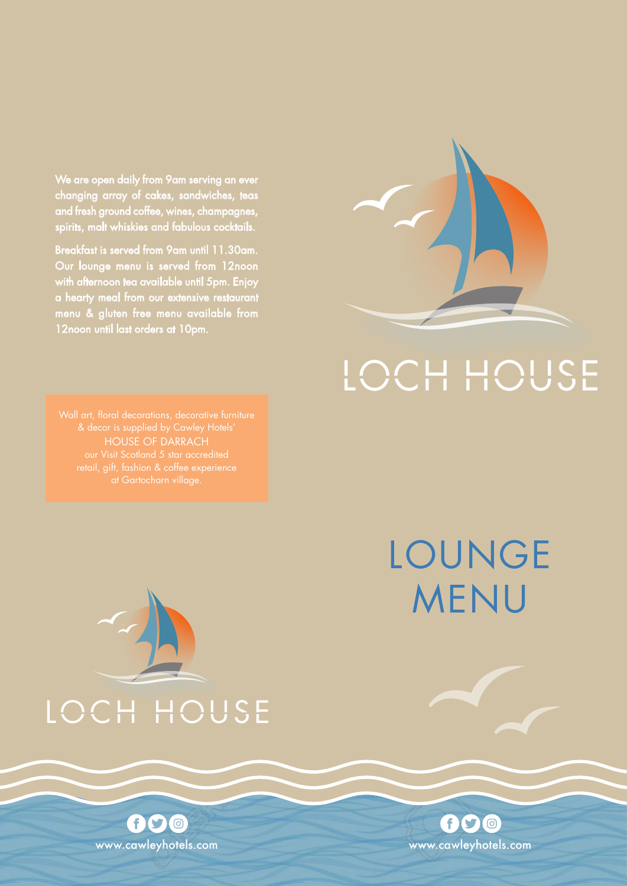We are open daily from 9am serving an ever changing array of cakes, sandwiches, teas and fresh ground coffee, wines, champagnes, spirits, malt whiskies and fabulous cocktails.

Breakfast is served from 9am until 11.30am. Our lounge menu is served from 12noon with afternoon tea available until 5pm. Enjoy a hearty meal from our extensive restaurant menu & gluten free menu available from 12noon until last orders at 10pm.



## LOCH HOUSE

LOUNGE

www.cawleyhotels.com

600



# MENU

LOCH HOUSE